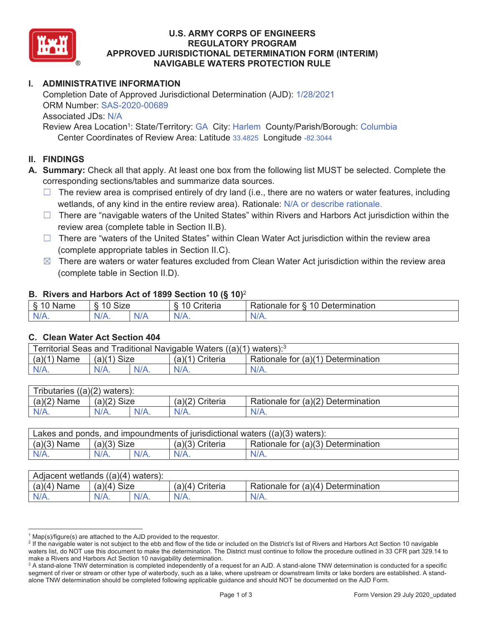

## **U.S. ARMY CORPS OF ENGINEERS REGULATORY PROGRAM APPROVED JURISDICTIONAL DETERMINATION FORM (INTERIM) NAVIGABLE WATERS PROTECTION RULE**

## **I. ADMINISTRATIVE INFORMATION**

Completion Date of Approved Jurisdictional Determination (AJD):  $1/28/2021$ ORM Number: SAS-2020-00689 Associated JDs: N/A

 Center Coordinates of Review Area: Latitude 33.4825 Longitude -82.3044 Review Area Location<sup>1</sup>: State/Territory: GA City: Harlem County/Parish/Borough: Columbia

#### **II. FINDINGS**

**A. Summary:** Check all that apply. At least one box from the following list MUST be selected. Complete the corresponding sections/tables and summarize data sources.

- $\Box$  The review area is comprised entirely of dry land (i.e., there are no waters or water features, including wetlands, of any kind in the entire review area). Rationale: N/A or describe rationale.
- $\Box$  There are "navigable waters of the United States" within Rivers and Harbors Act jurisdiction within the review area (complete table in Section II.B).
- $\Box$  There are "waters of the United States" within Clean Water Act jurisdiction within the review area (complete appropriate tables in Section II.C).
- $\boxtimes$  There are waters or water features excluded from Clean Water Act jurisdiction within the review area (complete table in Section II.D).

## **B. Rivers and Harbors Act of 1899 Section 10 (§ 10)**<sup>2</sup>

| . .                                       |                                   |          |                                 |                                                             |  |
|-------------------------------------------|-----------------------------------|----------|---------------------------------|-------------------------------------------------------------|--|
| δ.<br>$\sim$<br>`me<br>'Nar.<br>u<br>- 12 | $\sim$<br>$\sqrt{2}$<br>Size<br>∼ |          | $\overline{A}$<br>`riteria<br>∼ | 10<br>∽<br>ermination?<br><b>Rationale</b><br>tor<br>Jeter' |  |
| N/A.                                      | $N/A$ .                           | ,<br>NIA | $N/A$ .                         | INI.<br>VLO.                                                |  |

#### **C. Clean Water Act Section 404**

| Territorial Seas and Traditional Navigable Waters $((a)(1)$ waters): <sup>3</sup> |               |  |                 |                                    |  |
|-----------------------------------------------------------------------------------|---------------|--|-----------------|------------------------------------|--|
| $(a)(1)$ Name                                                                     | $(a)(1)$ Size |  | (a)(1) Criteria | Rationale for (a)(1) Determination |  |
| N/A.                                                                              | N/A.          |  | $N/A$ .         | $N/A$ .                            |  |

| Tributaries $((a)(2)$ waters): |               |         |                 |                                    |  |  |
|--------------------------------|---------------|---------|-----------------|------------------------------------|--|--|
| $(a)(2)$ Name                  | $(a)(2)$ Size |         | (a)(2) Criteria | Rationale for (a)(2) Determination |  |  |
| $N/A$ .                        | N/A.          | $N/A$ . | $N/A$ .         | $N/A$ .                            |  |  |

| Lakes and ponds, and impoundments of jurisdictional waters $((a)(3)$ waters): |               |         |                   |                                    |  |
|-------------------------------------------------------------------------------|---------------|---------|-------------------|------------------------------------|--|
| $(a)(3)$ Name                                                                 | $(a)(3)$ Size |         | $(a)(3)$ Criteria | Rationale for (a)(3) Determination |  |
| $N/A$ .                                                                       | $N/A$ .       | $N/A$ . | $N/A$ .           | $N/A$ .                            |  |

| Adjacent wetlands $((a)(4)$ waters): |                       |         |                    |                                    |  |  |
|--------------------------------------|-----------------------|---------|--------------------|------------------------------------|--|--|
| $(a)(4)$ Name                        | (a)(4)<br><b>Size</b> |         | Criteria<br>(a)(4) | Rationale for (a)(4) Determination |  |  |
| $N/A$ .                              | $N/A$ .               | $N/A$ . | $N/A$ .            | $N/A$ .                            |  |  |

 $1$  Map(s)/figure(s) are attached to the AJD provided to the requestor.

<sup>&</sup>lt;sup>2</sup> If the navigable water is not subject to the ebb and flow of the tide or included on the District's list of Rivers and Harbors Act Section 10 navigable waters list, do NOT use this document to make the determination. The District must continue to follow the procedure outlined in 33 CFR part 329.14 to make a Rivers and Harbors Act Section 10 navigability determination. 3

<sup>&</sup>lt;sup>3</sup> A stand-alone TNW determination is completed independently of a request for an AJD. A stand-alone TNW determination is conducted for a specific segment of river or stream or other type of waterbody, such as a lake, where upstream or downstream limits or lake borders are established. A standalone TNW determination should be completed following applicable guidance and should NOT be documented on the AJD Form.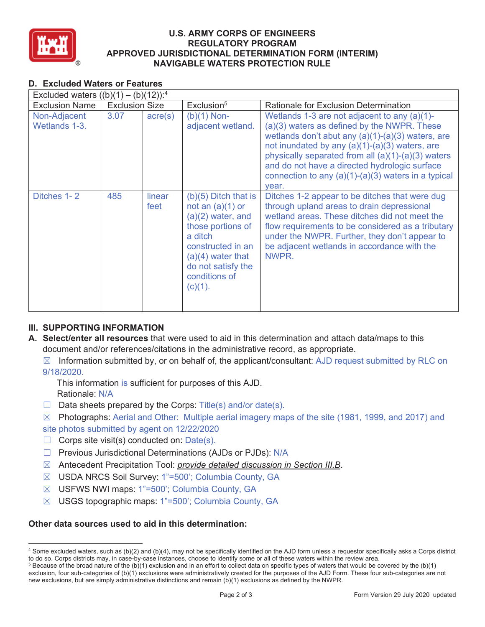

## **U.S. ARMY CORPS OF ENGINEERS REGULATORY PROGRAM APPROVED JURISDICTIONAL DETERMINATION FORM (INTERIM) NAVIGABLE WATERS PROTECTION RULE**

## **D. Excluded Waters or Features**

| Excluded waters $((b)(1) - (b)(12))$ : <sup>4</sup> |                       |                  |                                                                                                                                                                                                      |                                                                                                                                                                                                                                                                                                                                                                                  |  |
|-----------------------------------------------------|-----------------------|------------------|------------------------------------------------------------------------------------------------------------------------------------------------------------------------------------------------------|----------------------------------------------------------------------------------------------------------------------------------------------------------------------------------------------------------------------------------------------------------------------------------------------------------------------------------------------------------------------------------|--|
| <b>Exclusion Name</b>                               | <b>Exclusion Size</b> |                  | Exclusion <sup>5</sup>                                                                                                                                                                               | <b>Rationale for Exclusion Determination</b>                                                                                                                                                                                                                                                                                                                                     |  |
| Non-Adjacent<br>Wetlands 1-3.                       | 3.07                  | $\text{acre}(s)$ | $(b)(1)$ Non-<br>adjacent wetland.                                                                                                                                                                   | Wetlands 1-3 are not adjacent to any $(a)(1)$ -<br>(a)(3) waters as defined by the NWPR. These<br>wetlands don't abut any (a)(1)-(a)(3) waters, are<br>not inundated by any $(a)(1)-(a)(3)$ waters, are<br>physically separated from all (a)(1)-(a)(3) waters<br>and do not have a directed hydrologic surface<br>connection to any $(a)(1)-(a)(3)$ waters in a typical<br>year. |  |
| Ditches 1-2                                         | 485                   | linear<br>feet   | $(b)(5)$ Ditch that is<br>not an $(a)(1)$ or<br>$(a)(2)$ water, and<br>those portions of<br>a ditch<br>constructed in an<br>$(a)(4)$ water that<br>do not satisfy the<br>conditions of<br>$(c)(1)$ . | Ditches 1-2 appear to be ditches that were dug<br>through upland areas to drain depressional<br>wetland areas. These ditches did not meet the<br>flow requirements to be considered as a tributary<br>under the NWPR. Further, they don't appear to<br>be adjacent wetlands in accordance with the<br>NWPR.                                                                      |  |

# **III. SUPPORTING INFORMATION**

- **A. Select/enter all resources** that were used to aid in this determination and attach data/maps to this document and/or references/citations in the administrative record, as appropriate.
	- $\boxtimes$  Information submitted by, or on behalf of, the applicant/consultant: AJD request submitted by RLC on 9/18/2020.
		- This information is sufficient for purposes of this AJD. Rationale: N/A
	- $\Box$  Data sheets prepared by the Corps: Title(s) and/or date(s).
	- $\boxtimes$  Photographs: Aerial and Other: Multiple aerial imagery maps of the site (1981, 1999, and 2017) and site photos submitted by agent on 12/22/2020
	- $\Box$  Corps site visit(s) conducted on: Date(s).
	- □ Previous Jurisdictional Determinations (AJDs or PJDs): N/A
	- ܈ Antecedent Precipitation Tool: *provide detailed discussion in Section III.B*.
	- ܈ USDA NRCS Soil Survey: 1"=500'; Columbia County, GA
	- ܈ USFWS NWI maps: 1"=500'; Columbia County, GA
	- ܈ USGS topographic maps: 1"=500'; Columbia County, GA

## **Other data sources used to aid in this determination:**

<sup>4</sup> Some excluded waters, such as (b)(2) and (b)(4), may not be specifically identified on the AJD form unless a requestor specifically asks a Corps district to do so. Corps districts may, in case-by-case instances, choose to identify some or all of these waters within the review area. 5

 $5$  Because of the broad nature of the (b)(1) exclusion and in an effort to collect data on specific types of waters that would be covered by the (b)(1) exclusion, four sub-categories of (b)(1) exclusions were administratively created for the purposes of the AJD Form. These four sub-categories are not new exclusions, but are simply administrative distinctions and remain (b)(1) exclusions as defined by the NWPR.